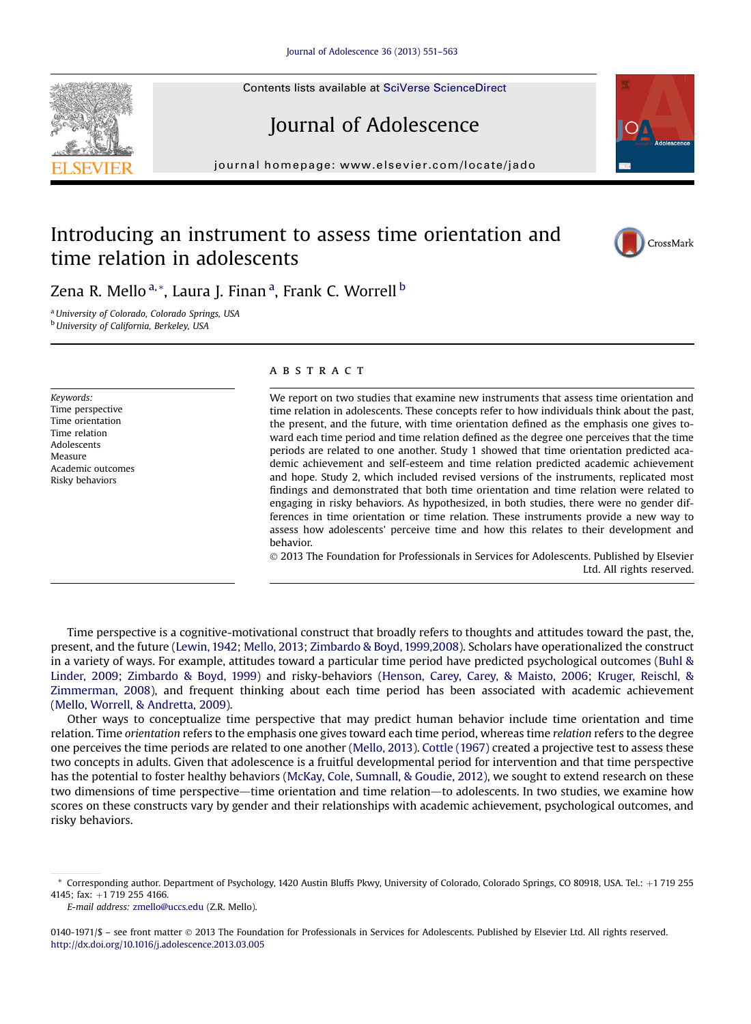Contents lists available at [SciVerse ScienceDirect](www.sciencedirect.com/science/journal/01401971)

# Journal of Adolescence

journal homepage: [www.elsevier.com/locate/jado](http://www.elsevier.com/locate/jado)

# Introducing an instrument to assess time orientation and time relation in adolescents

Zena R. Mello <sup>a,</sup>\*, Laura J. Finan <sup>a</sup>, Frank C. Worrell <sup>b</sup>

<sup>a</sup> University of Colorado, Colorado Springs, USA <sup>b</sup> University of California, Berkeley, USA

Keywords: Time perspective Time orientation Time relation Adolescents Measure Academic outcomes Risky behaviors

## **ABSTRACT**

We report on two studies that examine new instruments that assess time orientation and time relation in adolescents. These concepts refer to how individuals think about the past, the present, and the future, with time orientation defined as the emphasis one gives toward each time period and time relation defined as the degree one perceives that the time periods are related to one another. Study 1 showed that time orientation predicted academic achievement and self-esteem and time relation predicted academic achievement and hope. Study 2, which included revised versions of the instruments, replicated most findings and demonstrated that both time orientation and time relation were related to engaging in risky behaviors. As hypothesized, in both studies, there were no gender differences in time orientation or time relation. These instruments provide a new way to assess how adolescents' perceive time and how this relates to their development and behavior.

 2013 The Foundation for Professionals in Services for Adolescents. Published by Elsevier Ltd. All rights reserved.

Time perspective is a cognitive-motivational construct that broadly refers to thoughts and attitudes toward the past, the, present, and the future ([Lewin, 1942](#page-11-0); [Mello, 2013](#page-11-0); [Zimbardo & Boyd, 1999,2008\)](#page-12-0). Scholars have operationalized the construct in a variety of ways. For example, attitudes toward a particular time period have predicted psychological outcomes ([Buhl &](#page-11-0) [Linder, 2009;](#page-11-0) [Zimbardo & Boyd, 1999](#page-12-0)) and risky-behaviors [\(Henson, Carey, Carey, & Maisto, 2006](#page-11-0); [Kruger, Reischl, &](#page-11-0) [Zimmerman, 2008](#page-11-0)), and frequent thinking about each time period has been associated with academic achievement ([Mello, Worrell, & Andretta, 2009\)](#page-11-0).

Other ways to conceptualize time perspective that may predict human behavior include time orientation and time relation. Time orientation refers to the emphasis one gives toward each time period, whereas time relation refers to the degree one perceives the time periods are related to one another ([Mello, 2013](#page-11-0)). [Cottle \(1967\)](#page-11-0) created a projective test to assess these two concepts in adults. Given that adolescence is a fruitful developmental period for intervention and that time perspective has the potential to foster healthy behaviors [\(McKay, Cole, Sumnall, & Goudie, 2012](#page-11-0)), we sought to extend research on these two dimensions of time perspective—time orientation and time relation—to adolescents. In two studies, we examine how scores on these constructs vary by gender and their relationships with academic achievement, psychological outcomes, and risky behaviors.







<sup>\*</sup> Corresponding author. Department of Psychology, 1420 Austin Bluffs Pkwy, University of Colorado, Colorado Springs, CO 80918, USA. Tel.: þ1 719 255 4145; fax:  $+1$  719 255 4166.

E-mail address: [zmello@uccs.edu](mailto:zmello@uccs.edu) (Z.R. Mello).

<sup>0140-1971/\$ -</sup> see front matter © 2013 The Foundation for Professionals in Services for Adolescents. Published by Elsevier Ltd. All rights reserved. <http://dx.doi.org/10.1016/j.adolescence.2013.03.005>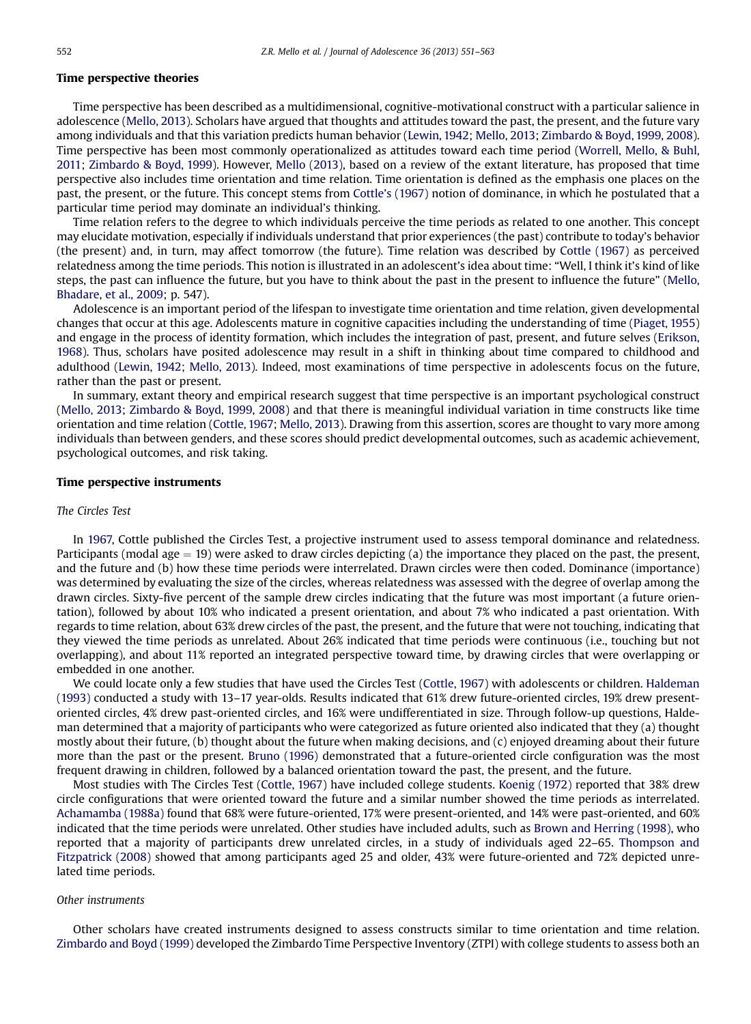# Time perspective theories

Time perspective has been described as a multidimensional, cognitive-motivational construct with a particular salience in adolescence ([Mello, 2013\)](#page-11-0). Scholars have argued that thoughts and attitudes toward the past, the present, and the future vary among individuals and that this variation predicts human behavior ([Lewin, 1942](#page-11-0); [Mello, 2013](#page-11-0); [Zimbardo & Boyd, 1999](#page-12-0), [2008](#page-12-0)). Time perspective has been most commonly operationalized as attitudes toward each time period ([Worrell, Mello, & Buhl,](#page-12-0) [2011;](#page-12-0) [Zimbardo & Boyd, 1999\)](#page-12-0). However, [Mello \(2013\),](#page-11-0) based on a review of the extant literature, has proposed that time perspective also includes time orientation and time relation. Time orientation is defined as the emphasis one places on the past, the present, or the future. This concept stems from Cottle'[s \(1967\)](#page-11-0) notion of dominance, in which he postulated that a particular time period may dominate an individual's thinking.

Time relation refers to the degree to which individuals perceive the time periods as related to one another. This concept may elucidate motivation, especially if individuals understand that prior experiences (the past) contribute to today's behavior (the present) and, in turn, may affect tomorrow (the future). Time relation was described by [Cottle \(1967\)](#page-11-0) as perceived relatedness among the time periods. This notion is illustrated in an adolescent's idea about time: "Well, I think it's kind of like steps, the past can influence the future, but you have to think about the past in the present to influence the future" [\(Mello,](#page-11-0) [Bhadare, et al., 2009](#page-11-0); p. 547).

Adolescence is an important period of the lifespan to investigate time orientation and time relation, given developmental changes that occur at this age. Adolescents mature in cognitive capacities including the understanding of time [\(Piaget, 1955](#page-11-0)) and engage in the process of identity formation, which includes the integration of past, present, and future selves [\(Erikson,](#page-11-0) [1968\)](#page-11-0). Thus, scholars have posited adolescence may result in a shift in thinking about time compared to childhood and adulthood ([Lewin, 1942](#page-11-0); [Mello, 2013](#page-11-0)). Indeed, most examinations of time perspective in adolescents focus on the future, rather than the past or present.

In summary, extant theory and empirical research suggest that time perspective is an important psychological construct [\(Mello, 2013](#page-11-0); [Zimbardo & Boyd, 1999](#page-12-0), [2008\)](#page-12-0) and that there is meaningful individual variation in time constructs like time orientation and time relation [\(Cottle, 1967](#page-11-0); [Mello, 2013](#page-11-0)). Drawing from this assertion, scores are thought to vary more among individuals than between genders, and these scores should predict developmental outcomes, such as academic achievement, psychological outcomes, and risk taking.

## Time perspective instruments

## The Circles Test

In [1967,](#page-11-0) Cottle published the Circles Test, a projective instrument used to assess temporal dominance and relatedness. Participants (modal age  $= 19$ ) were asked to draw circles depicting (a) the importance they placed on the past, the present, and the future and (b) how these time periods were interrelated. Drawn circles were then coded. Dominance (importance) was determined by evaluating the size of the circles, whereas relatedness was assessed with the degree of overlap among the drawn circles. Sixty-five percent of the sample drew circles indicating that the future was most important (a future orientation), followed by about 10% who indicated a present orientation, and about 7% who indicated a past orientation. With regards to time relation, about 63% drew circles of the past, the present, and the future that were not touching, indicating that they viewed the time periods as unrelated. About 26% indicated that time periods were continuous (i.e., touching but not overlapping), and about 11% reported an integrated perspective toward time, by drawing circles that were overlapping or embedded in one another.

We could locate only a few studies that have used the Circles Test ([Cottle, 1967](#page-11-0)) with adolescents or children. [Haldeman](#page-11-0) [\(1993\)](#page-11-0) conducted a study with 13–17 year-olds. Results indicated that 61% drew future-oriented circles, 19% drew presentoriented circles, 4% drew past-oriented circles, and 16% were undifferentiated in size. Through follow-up questions, Haldeman determined that a majority of participants who were categorized as future oriented also indicated that they (a) thought mostly about their future, (b) thought about the future when making decisions, and (c) enjoyed dreaming about their future more than the past or the present. [Bruno \(1996\)](#page-11-0) demonstrated that a future-oriented circle configuration was the most frequent drawing in children, followed by a balanced orientation toward the past, the present, and the future.

Most studies with The Circles Test [\(Cottle, 1967\)](#page-11-0) have included college students. [Koenig \(1972\)](#page-11-0) reported that 38% drew circle configurations that were oriented toward the future and a similar number showed the time periods as interrelated. [Achamamba \(1988a\)](#page-10-0) found that 68% were future-oriented, 17% were present-oriented, and 14% were past-oriented, and 60% indicated that the time periods were unrelated. Other studies have included adults, such as [Brown and Herring \(1998\)](#page-11-0), who reported that a majority of participants drew unrelated circles, in a study of individuals aged 22–65. [Thompson and](#page-11-0) [Fitzpatrick \(2008\)](#page-11-0) showed that among participants aged 25 and older, 43% were future-oriented and 72% depicted unrelated time periods.

#### Other instruments

Other scholars have created instruments designed to assess constructs similar to time orientation and time relation. [Zimbardo and Boyd \(1999\)](#page-12-0) developed the Zimbardo Time Perspective Inventory (ZTPI) with college students to assess both an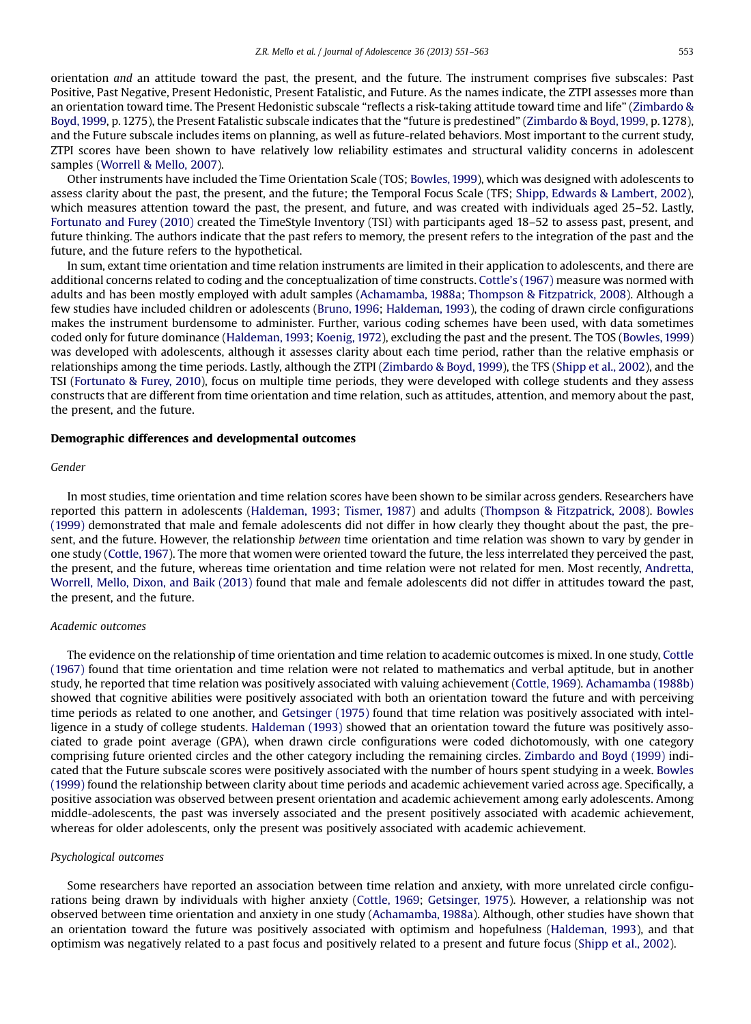orientation and an attitude toward the past, the present, and the future. The instrument comprises five subscales: Past Positive, Past Negative, Present Hedonistic, Present Fatalistic, and Future. As the names indicate, the ZTPI assesses more than an orientation toward time. The Present Hedonistic subscale "reflects a risk-taking attitude toward time and life" [\(Zimbardo &](#page-12-0) [Boyd, 1999](#page-12-0), p. 1275), the Present Fatalistic subscale indicates that the "future is predestined" [\(Zimbardo & Boyd, 1999](#page-12-0), p. 1278), and the Future subscale includes items on planning, as well as future-related behaviors. Most important to the current study, ZTPI scores have been shown to have relatively low reliability estimates and structural validity concerns in adolescent samples [\(Worrell & Mello, 2007](#page-12-0)).

Other instruments have included the Time Orientation Scale (TOS; [Bowles, 1999](#page-10-0)), which was designed with adolescents to assess clarity about the past, the present, and the future; the Temporal Focus Scale (TFS; [Shipp, Edwards & Lambert, 2002](#page-11-0)), which measures attention toward the past, the present, and future, and was created with individuals aged 25–52. Lastly, [Fortunato and Furey \(2010\)](#page-11-0) created the TimeStyle Inventory (TSI) with participants aged 18–52 to assess past, present, and future thinking. The authors indicate that the past refers to memory, the present refers to the integration of the past and the future, and the future refers to the hypothetical.

In sum, extant time orientation and time relation instruments are limited in their application to adolescents, and there are additional concerns related to coding and the conceptualization of time constructs. Cottle'[s \(1967\)](#page-11-0) measure was normed with adults and has been mostly employed with adult samples [\(Achamamba, 1988a](#page-10-0); [Thompson & Fitzpatrick, 2008](#page-11-0)). Although a few studies have included children or adolescents [\(Bruno, 1996;](#page-11-0) [Haldeman, 1993\)](#page-11-0), the coding of drawn circle configurations makes the instrument burdensome to administer. Further, various coding schemes have been used, with data sometimes coded only for future dominance [\(Haldeman, 1993;](#page-11-0) [Koenig, 1972\)](#page-11-0), excluding the past and the present. The TOS ([Bowles, 1999](#page-10-0)) was developed with adolescents, although it assesses clarity about each time period, rather than the relative emphasis or relationships among the time periods. Lastly, although the ZTPI ([Zimbardo & Boyd, 1999](#page-12-0)), the TFS [\(Shipp et al., 2002\)](#page-11-0), and the TSI [\(Fortunato & Furey, 2010\)](#page-11-0), focus on multiple time periods, they were developed with college students and they assess constructs that are different from time orientation and time relation, such as attitudes, attention, and memory about the past, the present, and the future.

#### Demographic differences and developmental outcomes

## Gender

In most studies, time orientation and time relation scores have been shown to be similar across genders. Researchers have reported this pattern in adolescents [\(Haldeman, 1993;](#page-11-0) [Tismer, 1987](#page-11-0)) and adults [\(Thompson & Fitzpatrick, 2008](#page-11-0)). [Bowles](#page-10-0) [\(1999\)](#page-10-0) demonstrated that male and female adolescents did not differ in how clearly they thought about the past, the present, and the future. However, the relationship between time orientation and time relation was shown to vary by gender in one study ([Cottle, 1967](#page-11-0)). The more that women were oriented toward the future, the less interrelated they perceived the past, the present, and the future, whereas time orientation and time relation were not related for men. Most recently, [Andretta,](#page-10-0) [Worrell, Mello, Dixon, and Baik \(2013\)](#page-10-0) found that male and female adolescents did not differ in attitudes toward the past, the present, and the future.

#### Academic outcomes

The evidence on the relationship of time orientation and time relation to academic outcomes is mixed. In one study, [Cottle](#page-11-0) [\(1967\)](#page-11-0) found that time orientation and time relation were not related to mathematics and verbal aptitude, but in another study, he reported that time relation was positively associated with valuing achievement [\(Cottle, 1969](#page-11-0)). [Achamamba \(1988b\)](#page-10-0) showed that cognitive abilities were positively associated with both an orientation toward the future and with perceiving time periods as related to one another, and [Getsinger \(1975\)](#page-11-0) found that time relation was positively associated with intelligence in a study of college students. [Haldeman \(1993\)](#page-11-0) showed that an orientation toward the future was positively associated to grade point average (GPA), when drawn circle configurations were coded dichotomously, with one category comprising future oriented circles and the other category including the remaining circles. [Zimbardo and Boyd \(1999\)](#page-12-0) indicated that the Future subscale scores were positively associated with the number of hours spent studying in a week. [Bowles](#page-10-0) [\(1999\)](#page-10-0) found the relationship between clarity about time periods and academic achievement varied across age. Specifically, a positive association was observed between present orientation and academic achievement among early adolescents. Among middle-adolescents, the past was inversely associated and the present positively associated with academic achievement, whereas for older adolescents, only the present was positively associated with academic achievement.

#### Psychological outcomes

Some researchers have reported an association between time relation and anxiety, with more unrelated circle configurations being drawn by individuals with higher anxiety ([Cottle, 1969](#page-11-0); [Getsinger, 1975](#page-11-0)). However, a relationship was not observed between time orientation and anxiety in one study [\(Achamamba, 1988a](#page-10-0)). Although, other studies have shown that an orientation toward the future was positively associated with optimism and hopefulness [\(Haldeman, 1993\)](#page-11-0), and that optimism was negatively related to a past focus and positively related to a present and future focus ([Shipp et al., 2002\)](#page-11-0).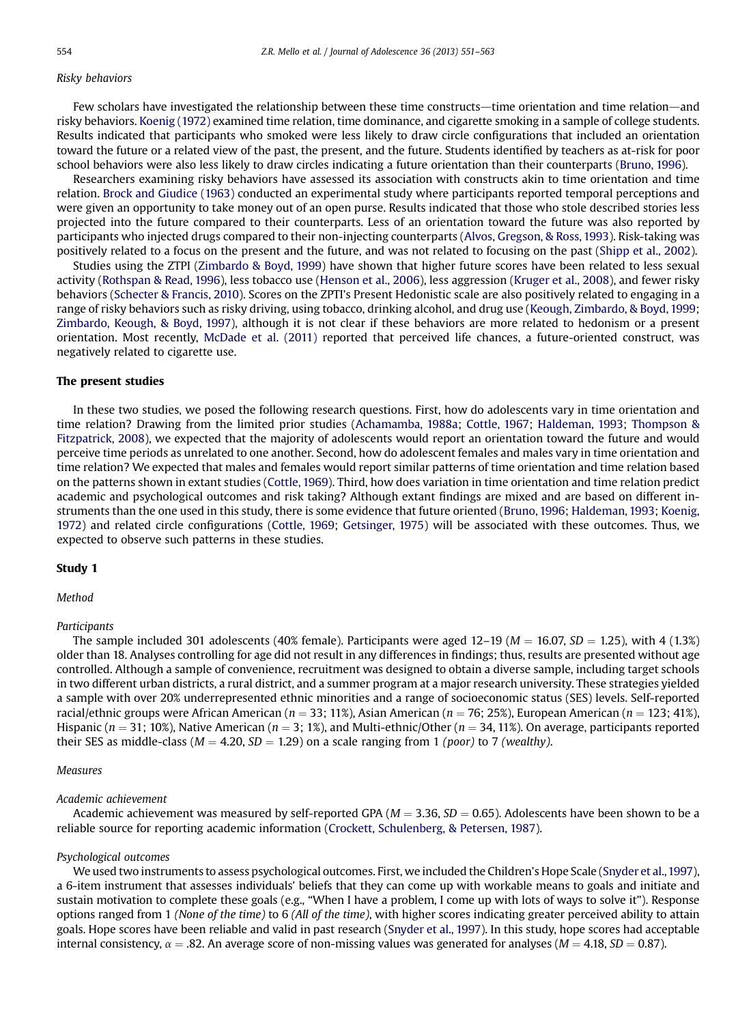# Risky behaviors

Few scholars have investigated the relationship between these time constructs—time orientation and time relation—and risky behaviors. [Koenig \(1972\)](#page-11-0) examined time relation, time dominance, and cigarette smoking in a sample of college students. Results indicated that participants who smoked were less likely to draw circle configurations that included an orientation toward the future or a related view of the past, the present, and the future. Students identified by teachers as at-risk for poor school behaviors were also less likely to draw circles indicating a future orientation than their counterparts [\(Bruno, 1996](#page-11-0)).

Researchers examining risky behaviors have assessed its association with constructs akin to time orientation and time relation. [Brock and Giudice \(1963\)](#page-11-0) conducted an experimental study where participants reported temporal perceptions and were given an opportunity to take money out of an open purse. Results indicated that those who stole described stories less projected into the future compared to their counterparts. Less of an orientation toward the future was also reported by participants who injected drugs compared to their non-injecting counterparts ([Alvos, Gregson, & Ross, 1993\)](#page-10-0). Risk-taking was positively related to a focus on the present and the future, and was not related to focusing on the past ([Shipp et al., 2002](#page-11-0)).

Studies using the ZTPI ([Zimbardo & Boyd, 1999](#page-12-0)) have shown that higher future scores have been related to less sexual activity [\(Rothspan & Read, 1996\)](#page-11-0), less tobacco use [\(Henson et al., 2006](#page-11-0)), less aggression ([Kruger et al., 2008\)](#page-11-0), and fewer risky behaviors ([Schecter & Francis, 2010](#page-11-0)). Scores on the ZPTI's Present Hedonistic scale are also positively related to engaging in a range of risky behaviors such as risky driving, using tobacco, drinking alcohol, and drug use [\(Keough, Zimbardo, & Boyd, 1999;](#page-11-0) [Zimbardo, Keough, & Boyd, 1997](#page-12-0)), although it is not clear if these behaviors are more related to hedonism or a present orientation. Most recently, [McDade et al. \(2011\)](#page-11-0) reported that perceived life chances, a future-oriented construct, was negatively related to cigarette use.

#### The present studies

In these two studies, we posed the following research questions. First, how do adolescents vary in time orientation and time relation? Drawing from the limited prior studies ([Achamamba, 1988a](#page-10-0); [Cottle, 1967;](#page-11-0) [Haldeman, 1993;](#page-11-0) [Thompson &](#page-11-0) [Fitzpatrick, 2008\)](#page-11-0), we expected that the majority of adolescents would report an orientation toward the future and would perceive time periods as unrelated to one another. Second, how do adolescent females and males vary in time orientation and time relation? We expected that males and females would report similar patterns of time orientation and time relation based on the patterns shown in extant studies [\(Cottle, 1969\)](#page-11-0). Third, how does variation in time orientation and time relation predict academic and psychological outcomes and risk taking? Although extant findings are mixed and are based on different instruments than the one used in this study, there is some evidence that future oriented [\(Bruno, 1996;](#page-11-0) [Haldeman, 1993;](#page-11-0) [Koenig,](#page-11-0) [1972](#page-11-0)) and related circle configurations [\(Cottle, 1969;](#page-11-0) [Getsinger, 1975\)](#page-11-0) will be associated with these outcomes. Thus, we expected to observe such patterns in these studies.

## Study 1

## Method

#### Participants

The sample included 301 adolescents (40% female). Participants were aged 12–19 ( $M = 16.07$ ,  $SD = 1.25$ ), with 4 (1.3%) older than 18. Analyses controlling for age did not result in any differences in findings; thus, results are presented without age controlled. Although a sample of convenience, recruitment was designed to obtain a diverse sample, including target schools in two different urban districts, a rural district, and a summer program at a major research university. These strategies yielded a sample with over 20% underrepresented ethnic minorities and a range of socioeconomic status (SES) levels. Self-reported racial/ethnic groups were African American ( $n = 33$ ; 11%), Asian American ( $n = 76$ ; 25%), European American ( $n = 123$ ; 41%), Hispanic ( $n = 31$ ; 10%), Native American ( $n = 3$ ; 1%), and Multi-ethnic/Other ( $n = 34$ , 11%). On average, participants reported their SES as middle-class ( $M = 4.20$ ,  $SD = 1.29$ ) on a scale ranging from 1 (poor) to 7 (wealthy).

## Measures

# Academic achievement

Academic achievement was measured by self-reported GPA ( $M = 3.36$ ,  $SD = 0.65$ ). Adolescents have been shown to be a reliable source for reporting academic information [\(Crockett, Schulenberg, & Petersen, 1987](#page-11-0)).

## Psychological outcomes

We used two instruments to assess psychological outcomes. First, we included the Children's Hope Scale [\(Snyder et al.,1997\)](#page-11-0), a 6-item instrument that assesses individuals' beliefs that they can come up with workable means to goals and initiate and sustain motivation to complete these goals (e.g., "When I have a problem, I come up with lots of ways to solve it"). Response options ranged from 1 (None of the time) to 6 (All of the time), with higher scores indicating greater perceived ability to attain goals. Hope scores have been reliable and valid in past research ([Snyder et al., 1997\)](#page-11-0). In this study, hope scores had acceptable internal consistency,  $\alpha = .82$ . An average score of non-missing values was generated for analyses ( $M = 4.18$ , SD = 0.87).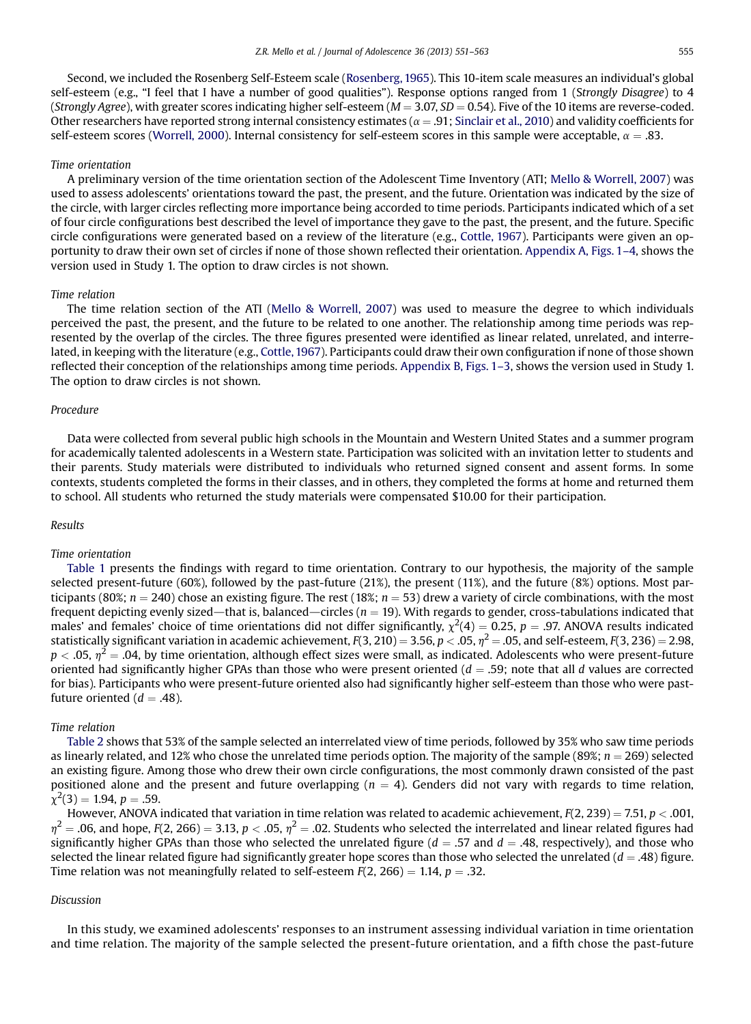Second, we included the Rosenberg Self-Esteem scale [\(Rosenberg, 1965](#page-11-0)). This 10-item scale measures an individual's global self-esteem (e.g., "I feel that I have a number of good qualities"). Response options ranged from 1 (Strongly Disagree) to 4 (Strongly Agree), with greater scores indicating higher self-esteem ( $M = 3.07$ ,  $SD = 0.54$ ). Five of the 10 items are reverse-coded. Other researchers have reported strong internal consistency estimates ( $\alpha = .91$ ; [Sinclair et al., 2010](#page-11-0)) and validity coefficients for self-esteem scores ([Worrell, 2000\)](#page-11-0). Internal consistency for self-esteem scores in this sample were acceptable,  $\alpha = .83$ .

## Time orientation

A preliminary version of the time orientation section of the Adolescent Time Inventory (ATI; [Mello & Worrell, 2007](#page-11-0)) was used to assess adolescents' orientations toward the past, the present, and the future. Orientation was indicated by the size of the circle, with larger circles reflecting more importance being accorded to time periods. Participants indicated which of a set of four circle configurations best described the level of importance they gave to the past, the present, and the future. Specific circle configurations were generated based on a review of the literature (e.g., [Cottle, 1967](#page-11-0)). Participants were given an opportunity to draw their own set of circles if none of those shown reflected their orientation. [Appendix A, Figs. 1](#page-9-0)–4, shows the version used in Study 1. The option to draw circles is not shown.

## Time relation

The time relation section of the ATI ([Mello & Worrell, 2007\)](#page-11-0) was used to measure the degree to which individuals perceived the past, the present, and the future to be related to one another. The relationship among time periods was represented by the overlap of the circles. The three figures presented were identified as linear related, unrelated, and interrelated, in keeping with the literature (e.g., [Cottle, 1967\)](#page-11-0). Participants could draw their own configuration if none of those shown reflected their conception of the relationships among time periods. [Appendix B, Figs. 1](#page-10-0)–3, shows the version used in Study 1. The option to draw circles is not shown.

## Procedure

Data were collected from several public high schools in the Mountain and Western United States and a summer program for academically talented adolescents in a Western state. Participation was solicited with an invitation letter to students and their parents. Study materials were distributed to individuals who returned signed consent and assent forms. In some contexts, students completed the forms in their classes, and in others, they completed the forms at home and returned them to school. All students who returned the study materials were compensated \$10.00 for their participation.

## Results

## Time orientation

[Table 1](#page-5-0) presents the findings with regard to time orientation. Contrary to our hypothesis, the majority of the sample selected present-future (60%), followed by the past-future (21%), the present (11%), and the future (8%) options. Most participants (80%;  $n = 240$ ) chose an existing figure. The rest (18%;  $n = 53$ ) drew a variety of circle combinations, with the most frequent depicting evenly sized—that is, balanced—circles ( $n = 19$ ). With regards to gender, cross-tabulations indicated that males' and females' choice of time orientations did not differ significantly,  $\chi^2(4) = 0.25$ ,  $p = .97$ . ANOVA results indicated statistically significant variation in academic achievement,  $F(3, 210) = 3.56$ ,  $p < .05$ ,  $n^2 = .05$ , and self-esteem,  $F(3, 236) = 2.98$ ,  $p < .05$ ,  $\eta^2 = .04$ , by time orientation, although effect sizes were small, as indicated. Adolescents who were present-future oriented had significantly higher GPAs than those who were present oriented  $(d = .59)$ ; note that all d values are corrected for bias). Participants who were present-future oriented also had significantly higher self-esteem than those who were pastfuture oriented ( $d = .48$ ).

## Time relation

[Table 2](#page-5-0) shows that 53% of the sample selected an interrelated view of time periods, followed by 35% who saw time periods as linearly related, and 12% who chose the unrelated time periods option. The majority of the sample (89%;  $n = 269$ ) selected an existing figure. Among those who drew their own circle configurations, the most commonly drawn consisted of the past positioned alone and the present and future overlapping ( $n = 4$ ). Genders did not vary with regards to time relation,  $\chi^2(3) = 1.94, p = .59.$ 

However, ANOVA indicated that variation in time relation was related to academic achievement,  $F(2, 239) = 7.51$ ,  $p < .001$ ,  $n^2 = .06$ , and hope,  $F(2, 266) = 3.13$ ,  $p < .05$ ,  $n^2 = .02$ . Students who selected the interrelated and linear related figures had significantly higher GPAs than those who selected the unrelated figure ( $d = .57$  and  $d = .48$ , respectively), and those who selected the linear related figure had significantly greater hope scores than those who selected the unrelated ( $d = .48$ ) figure. Time relation was not meaningfully related to self-esteem  $F(2, 266) = 1.14$ ,  $p = .32$ .

#### Discussion

In this study, we examined adolescents' responses to an instrument assessing individual variation in time orientation and time relation. The majority of the sample selected the present-future orientation, and a fifth chose the past-future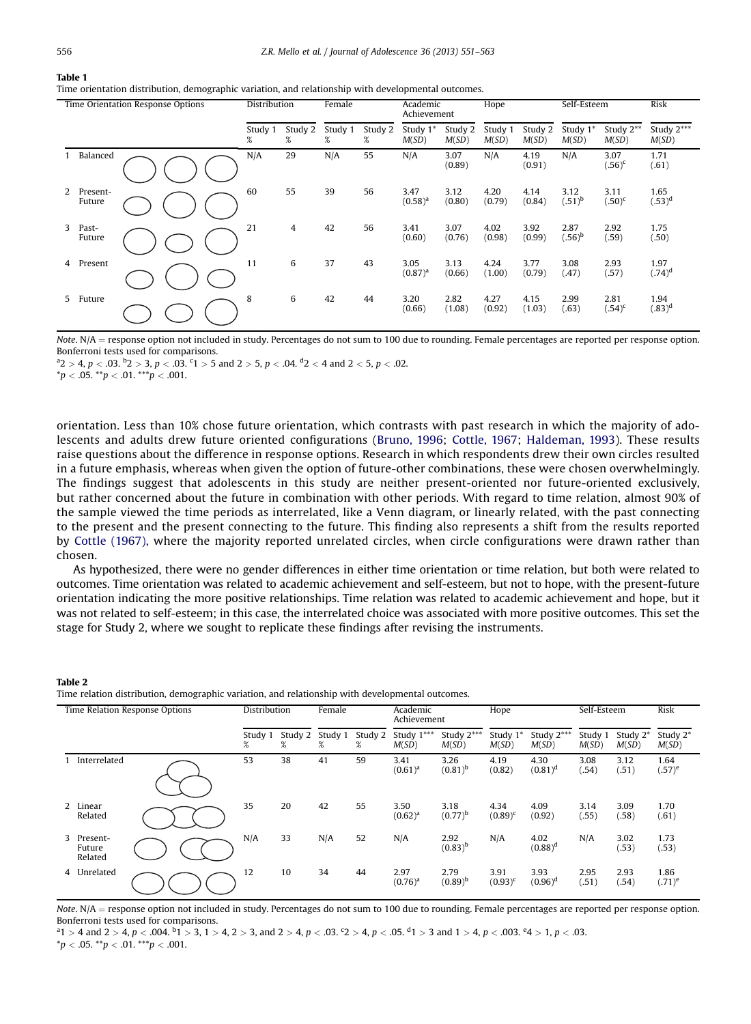## <span id="page-5-0"></span>Table 1

Time orientation distribution, demographic variation, and relationship with developmental outcomes.

| Time Orientation Response Options | Distribution |              | Female       |              | Academic<br>Achievement |                  | Hope             |                  | Self-Esteem          |                      | Risk                |
|-----------------------------------|--------------|--------------|--------------|--------------|-------------------------|------------------|------------------|------------------|----------------------|----------------------|---------------------|
|                                   | Study 1<br>% | Study 2<br>% | Study 1<br>% | Study 2<br>% | Study 1*<br>M(SD)       | Study 2<br>M(SD) | Study 1<br>M(SD) | Study 2<br>M(SD) | Study $1^*$<br>M(SD) | Study $2**$<br>M(SD) | Study 2***<br>M(SD) |
| Balanced<br>$\mathbf{1}$          | N/A          | 29           | N/A          | 55           | N/A                     | 3.07<br>(0.89)   | N/A              | 4.19<br>(0.91)   | N/A                  | 3.07<br>$(.56)^c$    | 1.71<br>(.61)       |
| 2<br>Present-<br>Future           | 60           | 55           | 39           | 56           | 3.47<br>$(0.58)^{a}$    | 3.12<br>(0.80)   | 4.20<br>(0.79)   | 4.14<br>(0.84)   | 3.12<br>$(.51)^{b}$  | 3.11<br>$(.50)^c$    | 1.65<br>$(.53)^d$   |
| $\mathbf{3}$<br>Past-<br>Future   | 21           | 4            | 42           | 56           | 3.41<br>(0.60)          | 3.07<br>(0.76)   | 4.02<br>(0.98)   | 3.92<br>(0.99)   | 2.87<br>$(.56)^{b}$  | 2.92<br>(.59)        | 1.75<br>(.50)       |
| 4 Present                         | 11           | 6            | 37           | 43           | 3.05<br>$(0.87)^{a}$    | 3.13<br>(0.66)   | 4.24<br>(1.00)   | 3.77<br>(0.79)   | 3.08<br>(.47)        | 2.93<br>(.57)        | 1.97<br>$(.74)^d$   |
| 5 Future                          | 8            | 6            | 42           | 44           | 3.20<br>(0.66)          | 2.82<br>(1.08)   | 4.27<br>(0.92)   | 4.15<br>(1.03)   | 2.99<br>(.63)        | 2.81<br>$(.54)^c$    | 1.94<br>$(.83)^d$   |

Note. N/A = response option not included in study. Percentages do not sum to 100 due to rounding. Female percentages are reported per response option. Bonferroni tests used for comparisons.

 $^{\rm a}2$   $>$  4,  $p$   $<$  .03.  $^{\rm b}2$   $>$  3,  $p$   $<$  .03.  $^{\rm c}1$   $>$  5 and 2  $>$  5,  $p$   $<$  .04.  $^{\rm d}2$   $<$  4 and 2  $<$  5,  $p$   $<$  .02.

 $**p* < .05. ***p* < .01.****p* < .001.$ 

orientation. Less than 10% chose future orientation, which contrasts with past research in which the majority of adolescents and adults drew future oriented configurations ([Bruno, 1996](#page-11-0); [Cottle, 1967](#page-11-0); [Haldeman, 1993](#page-11-0)). These results raise questions about the difference in response options. Research in which respondents drew their own circles resulted in a future emphasis, whereas when given the option of future-other combinations, these were chosen overwhelmingly. The findings suggest that adolescents in this study are neither present-oriented nor future-oriented exclusively, but rather concerned about the future in combination with other periods. With regard to time relation, almost 90% of the sample viewed the time periods as interrelated, like a Venn diagram, or linearly related, with the past connecting to the present and the present connecting to the future. This finding also represents a shift from the results reported by [Cottle \(1967\),](#page-11-0) where the majority reported unrelated circles, when circle configurations were drawn rather than chosen.

As hypothesized, there were no gender differences in either time orientation or time relation, but both were related to outcomes. Time orientation was related to academic achievement and self-esteem, but not to hope, with the present-future orientation indicating the more positive relationships. Time relation was related to academic achievement and hope, but it was not related to self-esteem; in this case, the interrelated choice was associated with more positive outcomes. This set the stage for Study 2, where we sought to replicate these findings after revising the instruments.

#### Table 2

Time relation distribution, demographic variation, and relationship with developmental outcomes.

| Time Relation Response Options  |  | Distribution |              | Female       |              | Academic<br>Achievement |                       | Hope               |                       | Self-Esteem    |                      | Risk              |
|---------------------------------|--|--------------|--------------|--------------|--------------|-------------------------|-----------------------|--------------------|-----------------------|----------------|----------------------|-------------------|
|                                 |  | Study 1<br>% | Study 2<br>% | Study 1<br>% | Study 2<br>% | Study $1***$<br>M(SD)   | Study $2***$<br>M(SD) | Study 1<br>M(SD)   | Study $2***$<br>M(SD) | Study<br>M(SD) | Study $2^*$<br>M(SD) | Study 2*<br>M(SD) |
| Interrelated<br>$\mathbf{1}$    |  | 53           | 38           | 41           | 59           | 3.41<br>$(0.61)^{a}$    | 3.26<br>$(0.81)^{b}$  | 4.19<br>(0.82)     | 4.30<br>$(0.81)^d$    | 3.08<br>(.54)  | 3.12<br>(.51)        | 1.64<br>$(.57)^e$ |
| 2 Linear<br>Related             |  | 35           | 20           | 42           | 55           | 3.50<br>$(0.62)^{d}$    | 3.18<br>$(0.77)^{b}$  | 4.34<br>$(0.89)^c$ | 4.09<br>(0.92)        | 3.14<br>(.55)  | 3.09<br>(.58)        | 1.70<br>(.61)     |
| 3 Present-<br>Future<br>Related |  | N/A          | 33           | N/A          | 52           | N/A                     | 2.92<br>$(0.83)^{b}$  | N/A                | 4.02<br>$(0.88)^d$    | N/A            | 3.02<br>(.53)        | 1.73<br>(.53)     |
| 4 Unrelated                     |  | 12           | 10           | 34           | 44           | 2.97<br>$(0.76)^{a}$    | 2.79<br>$(0.89)^{b}$  | 3.91<br>$(0.93)^c$ | 3.93<br>$(0.96)^d$    | 2.95<br>(.51)  | 2.93<br>(.54)        | 1.86<br>$(.71)^e$ |

Note. N/A = response option not included in study. Percentages do not sum to 100 due to rounding. Female percentages are reported per response option. Bonferroni tests used for comparisons.

 $a_1 > 4$  and  $2 > 4$ ,  $p < .004$ .  $b_1 > 3$ ,  $1 > 4$ ,  $2 > 3$ , and  $2 > 4$ ,  $p < .03$ .  $c_2 > 4$ ,  $p < .05$ .  $d_1 > 3$  and  $1 > 4$ ,  $p < .003$ .  $e_4 > 1$ ,  $p < .03$ .  $**p* < .05. ***p* < .01.****p* < .001.$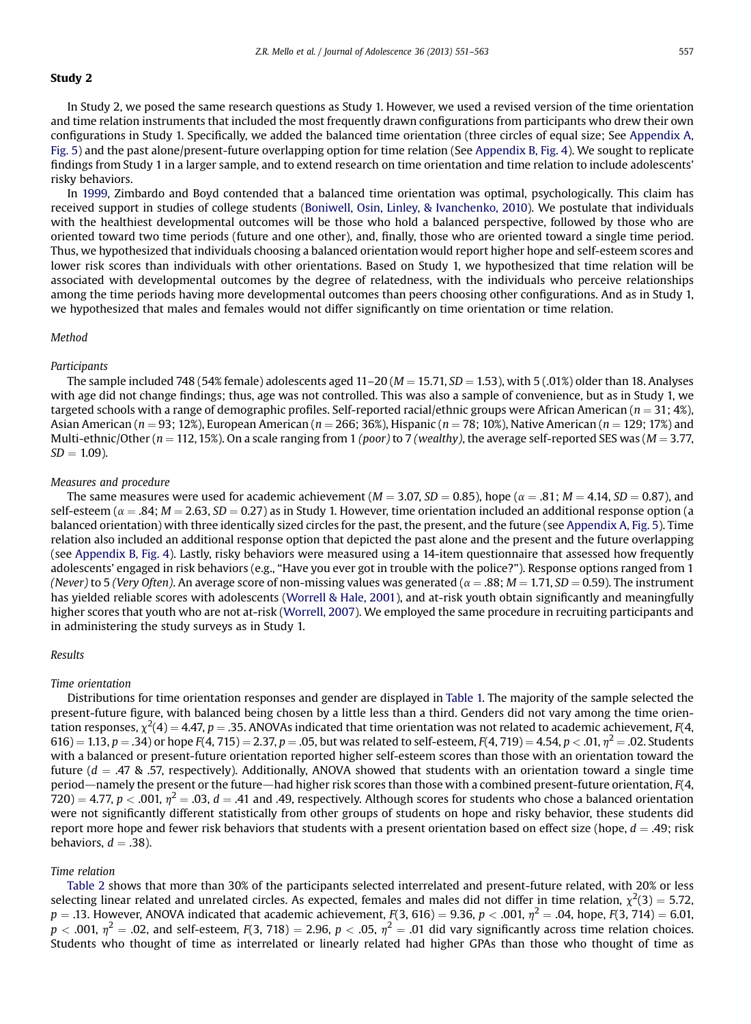## Study 2

In Study 2, we posed the same research questions as Study 1. However, we used a revised version of the time orientation and time relation instruments that included the most frequently drawn configurations from participants who drew their own configurations in Study 1. Specifically, we added the balanced time orientation (three circles of equal size; See [Appendix A,](#page-9-0) [Fig. 5\)](#page-9-0) and the past alone/present-future overlapping option for time relation (See [Appendix B, Fig. 4\)](#page-10-0). We sought to replicate findings from Study 1 in a larger sample, and to extend research on time orientation and time relation to include adolescents' risky behaviors.

In [1999,](#page-12-0) Zimbardo and Boyd contended that a balanced time orientation was optimal, psychologically. This claim has received support in studies of college students [\(Boniwell, Osin, Linley, & Ivanchenko, 2010](#page-10-0)). We postulate that individuals with the healthiest developmental outcomes will be those who hold a balanced perspective, followed by those who are oriented toward two time periods (future and one other), and, finally, those who are oriented toward a single time period. Thus, we hypothesized that individuals choosing a balanced orientation would report higher hope and self-esteem scores and lower risk scores than individuals with other orientations. Based on Study 1, we hypothesized that time relation will be associated with developmental outcomes by the degree of relatedness, with the individuals who perceive relationships among the time periods having more developmental outcomes than peers choosing other configurations. And as in Study 1, we hypothesized that males and females would not differ significantly on time orientation or time relation.

## Method

#### Participants

The sample included 748 (54% female) adolescents aged  $11-20$  ( $M = 15.71$ ,  $SD = 1.53$ ), with 5 (.01%) older than 18. Analyses with age did not change findings; thus, age was not controlled. This was also a sample of convenience, but as in Study 1, we targeted schools with a range of demographic profiles. Self-reported racial/ethnic groups were African American ( $n = 31; 4%$ ), Asian American ( $n = 93$ ; 12%), European American ( $n = 266$ ; 36%), Hispanic ( $n = 78$ ; 10%), Native American ( $n = 129$ ; 17%) and Multi-ethnic/Other ( $n = 112, 15\%$ ). On a scale ranging from 1 (poor) to 7 (wealthy), the average self-reported SES was ( $M = 3.77$ ,  $SD = 1.09$ ).

## Measures and procedure

The same measures were used for academic achievement ( $M = 3.07$ ,  $SD = 0.85$ ), hope ( $\alpha = .81$ ;  $M = 4.14$ ,  $SD = 0.87$ ), and self-esteem ( $\alpha = .84$ ;  $M = 2.63$ ,  $SD = 0.27$ ) as in Study 1. However, time orientation included an additional response option (a balanced orientation) with three identically sized circles for the past, the present, and the future (see [Appendix A, Fig. 5\)](#page-9-0). Time relation also included an additional response option that depicted the past alone and the present and the future overlapping (see [Appendix B, Fig. 4\)](#page-10-0). Lastly, risky behaviors were measured using a 14-item questionnaire that assessed how frequently adolescents' engaged in risk behaviors (e.g., "Have you ever got in trouble with the police?"). Response options ranged from 1 (Never) to 5 (Very Often). An average score of non-missing values was generated ( $\alpha = .88$ ;  $M = 1.71$ , SD = 0.59). The instrument has yielded reliable scores with adolescents ([Worrell & Hale, 2001](#page-11-0)), and at-risk youth obtain significantly and meaningfully higher scores that youth who are not at-risk ([Worrell, 2007](#page-11-0)). We employed the same procedure in recruiting participants and in administering the study surveys as in Study 1.

#### Results

#### Time orientation

Distributions for time orientation responses and gender are displayed in [Table 1.](#page-5-0) The majority of the sample selected the present-future figure, with balanced being chosen by a little less than a third. Genders did not vary among the time orientation responses,  $\chi^2(4)$  = 4.47, p = .35. ANOVAs indicated that time orientation was not related to academic achievement, F(4, 616) = 1.13, p = .34) or hope  $F(4, 715)$  = 2.37, p = .05, but was related to self-esteem,  $F(4, 719)$  = 4.54, p < .01,  $\eta^2$  = .02. Students with a balanced or present-future orientation reported higher self-esteem scores than those with an orientation toward the future ( $d = .47$  & .57, respectively). Additionally, ANOVA showed that students with an orientation toward a single time period—namely the present or the future—had higher risk scores than those with a combined present-future orientation, F(4, 720) = 4.77, p < .001,  $\eta^2$  = .03, d = .41 and .49, respectively. Although scores for students who chose a balanced orientation were not significantly different statistically from other groups of students on hope and risky behavior, these students did report more hope and fewer risk behaviors that students with a present orientation based on effect size (hope,  $d = .49$ ; risk behaviors,  $d = .38$ ).

#### Time relation

[Table 2](#page-5-0) shows that more than 30% of the participants selected interrelated and present-future related, with 20% or less selecting linear related and unrelated circles. As expected, females and males did not differ in time relation,  $\chi^2(3) = 5.72$ ,  $p = .13$ . However, ANOVA indicated that academic achievement,  $F(3, 616) = 9.36$ ,  $p < .001$ ,  $\eta^2 = .04$ , hope,  $F(3, 714) = 6.01$ ,  $p < .001$ ,  $\eta^2 = .02$ , and self-esteem,  $F(3, 718) = 2.96$ ,  $p < .05$ ,  $\eta^2 = .01$  did vary significantly across time relation choices. Students who thought of time as interrelated or linearly related had higher GPAs than those who thought of time as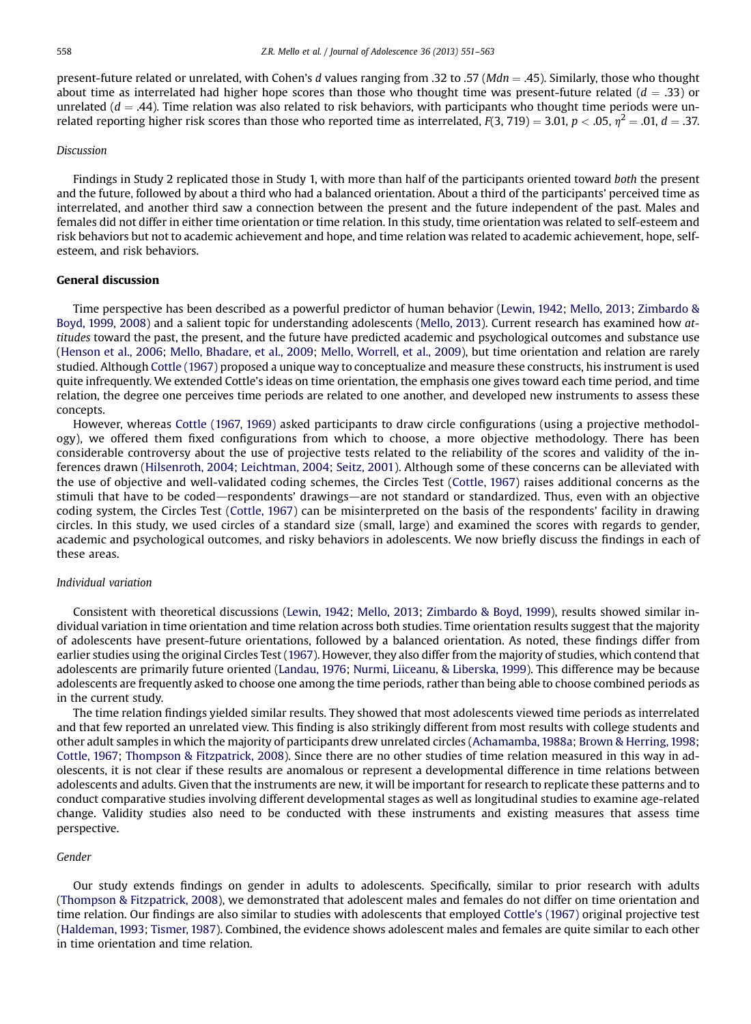present-future related or unrelated, with Cohen's d values ranging from .32 to .57 (*Mdn* = .45). Similarly, those who thought about time as interrelated had higher hope scores than those who thought time was present-future related ( $d = .33$ ) or unrelated  $(d = .44)$ . Time relation was also related to risk behaviors, with participants who thought time periods were unrelated reporting higher risk scores than those who reported time as interrelated,  $F(3, 719) = 3.01$ ,  $p < .05$ ,  $n^2 = .01$ ,  $d = .37$ .

## Discussion

Findings in Study 2 replicated those in Study 1, with more than half of the participants oriented toward both the present and the future, followed by about a third who had a balanced orientation. About a third of the participants' perceived time as interrelated, and another third saw a connection between the present and the future independent of the past. Males and females did not differ in either time orientation or time relation. In this study, time orientation was related to self-esteem and risk behaviors but not to academic achievement and hope, and time relation was related to academic achievement, hope, selfesteem, and risk behaviors.

# General discussion

Time perspective has been described as a powerful predictor of human behavior [\(Lewin, 1942](#page-11-0); [Mello, 2013;](#page-11-0) [Zimbardo &](#page-12-0) [Boyd, 1999](#page-12-0), [2008](#page-12-0)) and a salient topic for understanding adolescents ([Mello, 2013\)](#page-11-0). Current research has examined how attitudes toward the past, the present, and the future have predicted academic and psychological outcomes and substance use [\(Henson et al., 2006;](#page-11-0) [Mello, Bhadare, et al., 2009](#page-11-0); [Mello, Worrell, et al., 2009](#page-11-0)), but time orientation and relation are rarely studied. Although [Cottle \(1967\)](#page-11-0) proposed a unique way to conceptualize and measure these constructs, his instrument is used quite infrequently. We extended Cottle's ideas on time orientation, the emphasis one gives toward each time period, and time relation, the degree one perceives time periods are related to one another, and developed new instruments to assess these concepts.

However, whereas [Cottle \(1967,](#page-11-0) [1969\)](#page-11-0) asked participants to draw circle configurations (using a projective methodology), we offered them fixed configurations from which to choose, a more objective methodology. There has been considerable controversy about the use of projective tests related to the reliability of the scores and validity of the inferences drawn [\(Hilsenroth, 2004;](#page-11-0) [Leichtman, 2004;](#page-11-0) [Seitz, 2001\)](#page-11-0). Although some of these concerns can be alleviated with the use of objective and well-validated coding schemes, the Circles Test ([Cottle, 1967\)](#page-11-0) raises additional concerns as the stimuli that have to be coded—respondents' drawings—are not standard or standardized. Thus, even with an objective coding system, the Circles Test ([Cottle, 1967\)](#page-11-0) can be misinterpreted on the basis of the respondents' facility in drawing circles. In this study, we used circles of a standard size (small, large) and examined the scores with regards to gender, academic and psychological outcomes, and risky behaviors in adolescents. We now briefly discuss the findings in each of these areas.

## Individual variation

Consistent with theoretical discussions [\(Lewin, 1942;](#page-11-0) [Mello, 2013;](#page-11-0) [Zimbardo & Boyd, 1999](#page-12-0)), results showed similar individual variation in time orientation and time relation across both studies. Time orientation results suggest that the majority of adolescents have present-future orientations, followed by a balanced orientation. As noted, these findings differ from earlier studies using the original Circles Test ([1967](#page-11-0)). However, they also differ from the majority of studies, which contend that adolescents are primarily future oriented [\(Landau, 1976](#page-11-0); [Nurmi, Liiceanu, & Liberska, 1999\)](#page-11-0). This difference may be because adolescents are frequently asked to choose one among the time periods, rather than being able to choose combined periods as in the current study.

The time relation findings yielded similar results. They showed that most adolescents viewed time periods as interrelated and that few reported an unrelated view. This finding is also strikingly different from most results with college students and other adult samples in which the majority of participants drew unrelated circles ([Achamamba, 1988a](#page-10-0); [Brown & Herring, 1998;](#page-11-0) [Cottle, 1967;](#page-11-0) [Thompson & Fitzpatrick, 2008](#page-11-0)). Since there are no other studies of time relation measured in this way in adolescents, it is not clear if these results are anomalous or represent a developmental difference in time relations between adolescents and adults. Given that the instruments are new, it will be important for research to replicate these patterns and to conduct comparative studies involving different developmental stages as well as longitudinal studies to examine age-related change. Validity studies also need to be conducted with these instruments and existing measures that assess time perspective.

## Gender

Our study extends findings on gender in adults to adolescents. Specifically, similar to prior research with adults [\(Thompson & Fitzpatrick, 2008](#page-11-0)), we demonstrated that adolescent males and females do not differ on time orientation and time relation. Our findings are also similar to studies with adolescents that employed Cottle'[s \(1967\)](#page-11-0) original projective test [\(Haldeman, 1993;](#page-11-0) [Tismer, 1987\)](#page-11-0). Combined, the evidence shows adolescent males and females are quite similar to each other in time orientation and time relation.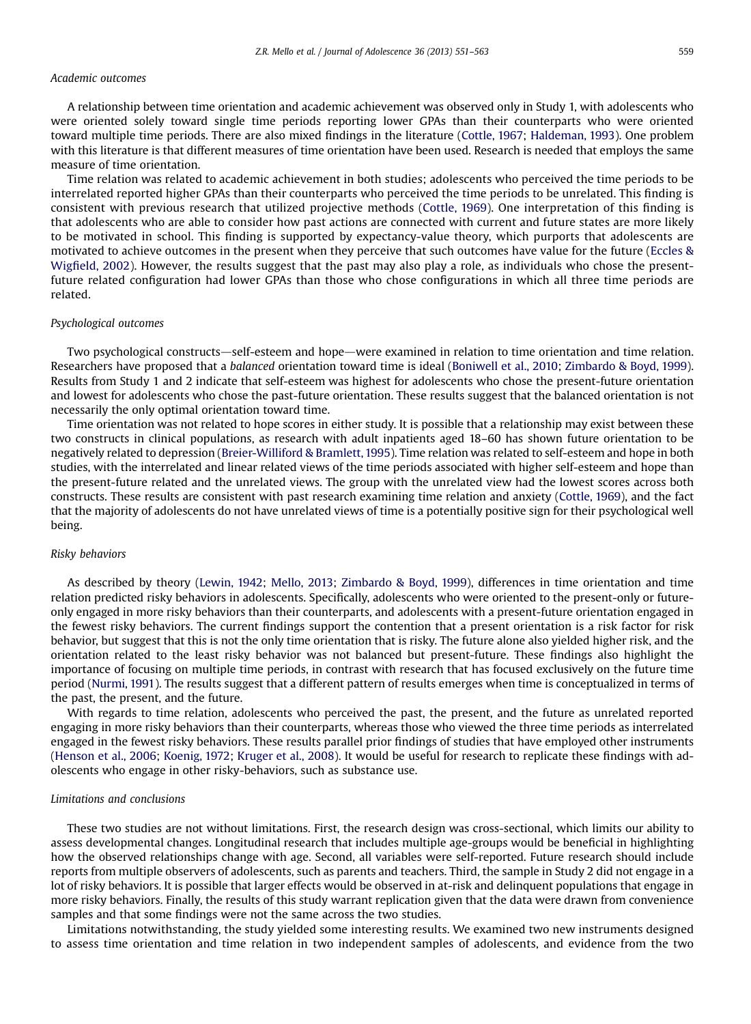## Academic outcomes

A relationship between time orientation and academic achievement was observed only in Study 1, with adolescents who were oriented solely toward single time periods reporting lower GPAs than their counterparts who were oriented toward multiple time periods. There are also mixed findings in the literature ([Cottle, 1967](#page-11-0); [Haldeman, 1993\)](#page-11-0). One problem with this literature is that different measures of time orientation have been used. Research is needed that employs the same measure of time orientation.

Time relation was related to academic achievement in both studies; adolescents who perceived the time periods to be interrelated reported higher GPAs than their counterparts who perceived the time periods to be unrelated. This finding is consistent with previous research that utilized projective methods ([Cottle, 1969](#page-11-0)). One interpretation of this finding is that adolescents who are able to consider how past actions are connected with current and future states are more likely to be motivated in school. This finding is supported by expectancy-value theory, which purports that adolescents are motivated to achieve outcomes in the present when they perceive that such outcomes have value for the future ([Eccles &](#page-11-0) Wigfi[eld, 2002](#page-11-0)). However, the results suggest that the past may also play a role, as individuals who chose the presentfuture related configuration had lower GPAs than those who chose configurations in which all three time periods are related.

## Psychological outcomes

Two psychological constructs—self-esteem and hope—were examined in relation to time orientation and time relation. Researchers have proposed that a balanced orientation toward time is ideal ([Boniwell et al., 2010;](#page-10-0) [Zimbardo & Boyd, 1999](#page-12-0)). Results from Study 1 and 2 indicate that self-esteem was highest for adolescents who chose the present-future orientation and lowest for adolescents who chose the past-future orientation. These results suggest that the balanced orientation is not necessarily the only optimal orientation toward time.

Time orientation was not related to hope scores in either study. It is possible that a relationship may exist between these two constructs in clinical populations, as research with adult inpatients aged 18–60 has shown future orientation to be negatively related to depression ([Breier-Williford & Bramlett, 1995](#page-11-0)). Time relation was related to self-esteem and hope in both studies, with the interrelated and linear related views of the time periods associated with higher self-esteem and hope than the present-future related and the unrelated views. The group with the unrelated view had the lowest scores across both constructs. These results are consistent with past research examining time relation and anxiety ([Cottle, 1969](#page-11-0)), and the fact that the majority of adolescents do not have unrelated views of time is a potentially positive sign for their psychological well being.

## Risky behaviors

As described by theory ([Lewin, 1942](#page-11-0); [Mello, 2013;](#page-11-0) [Zimbardo & Boyd, 1999\)](#page-12-0), differences in time orientation and time relation predicted risky behaviors in adolescents. Specifically, adolescents who were oriented to the present-only or futureonly engaged in more risky behaviors than their counterparts, and adolescents with a present-future orientation engaged in the fewest risky behaviors. The current findings support the contention that a present orientation is a risk factor for risk behavior, but suggest that this is not the only time orientation that is risky. The future alone also yielded higher risk, and the orientation related to the least risky behavior was not balanced but present-future. These findings also highlight the importance of focusing on multiple time periods, in contrast with research that has focused exclusively on the future time period ([Nurmi, 1991](#page-11-0)). The results suggest that a different pattern of results emerges when time is conceptualized in terms of the past, the present, and the future.

With regards to time relation, adolescents who perceived the past, the present, and the future as unrelated reported engaging in more risky behaviors than their counterparts, whereas those who viewed the three time periods as interrelated engaged in the fewest risky behaviors. These results parallel prior findings of studies that have employed other instruments ([Henson et al., 2006](#page-11-0); [Koenig, 1972;](#page-11-0) [Kruger et al., 2008](#page-11-0)). It would be useful for research to replicate these findings with adolescents who engage in other risky-behaviors, such as substance use.

# Limitations and conclusions

These two studies are not without limitations. First, the research design was cross-sectional, which limits our ability to assess developmental changes. Longitudinal research that includes multiple age-groups would be beneficial in highlighting how the observed relationships change with age. Second, all variables were self-reported. Future research should include reports from multiple observers of adolescents, such as parents and teachers. Third, the sample in Study 2 did not engage in a lot of risky behaviors. It is possible that larger effects would be observed in at-risk and delinquent populations that engage in more risky behaviors. Finally, the results of this study warrant replication given that the data were drawn from convenience samples and that some findings were not the same across the two studies.

Limitations notwithstanding, the study yielded some interesting results. We examined two new instruments designed to assess time orientation and time relation in two independent samples of adolescents, and evidence from the two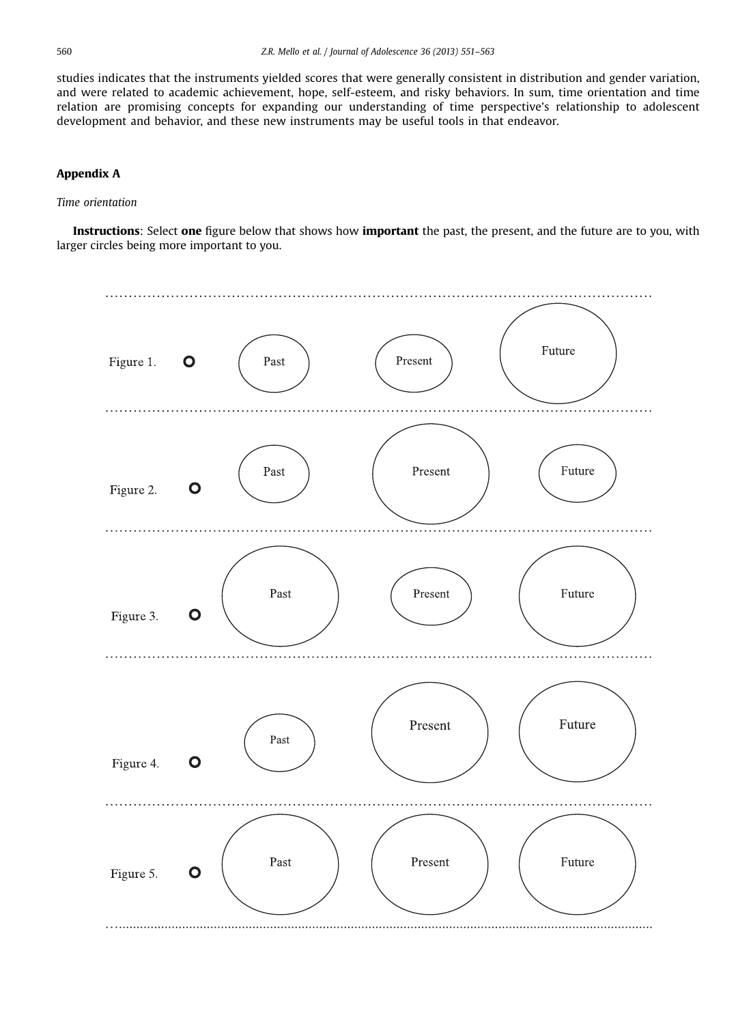<span id="page-9-0"></span>studies indicates that the instruments yielded scores that were generally consistent in distribution and gender variation, and were related to academic achievement, hope, self-esteem, and risky behaviors. In sum, time orientation and time relation are promising concepts for expanding our understanding of time perspective's relationship to adolescent development and behavior, and these new instruments may be useful tools in that endeavor.

# Appendix A

# Time orientation

Instructions: Select one figure below that shows how important the past, the present, and the future are to you, with larger circles being more important to you.

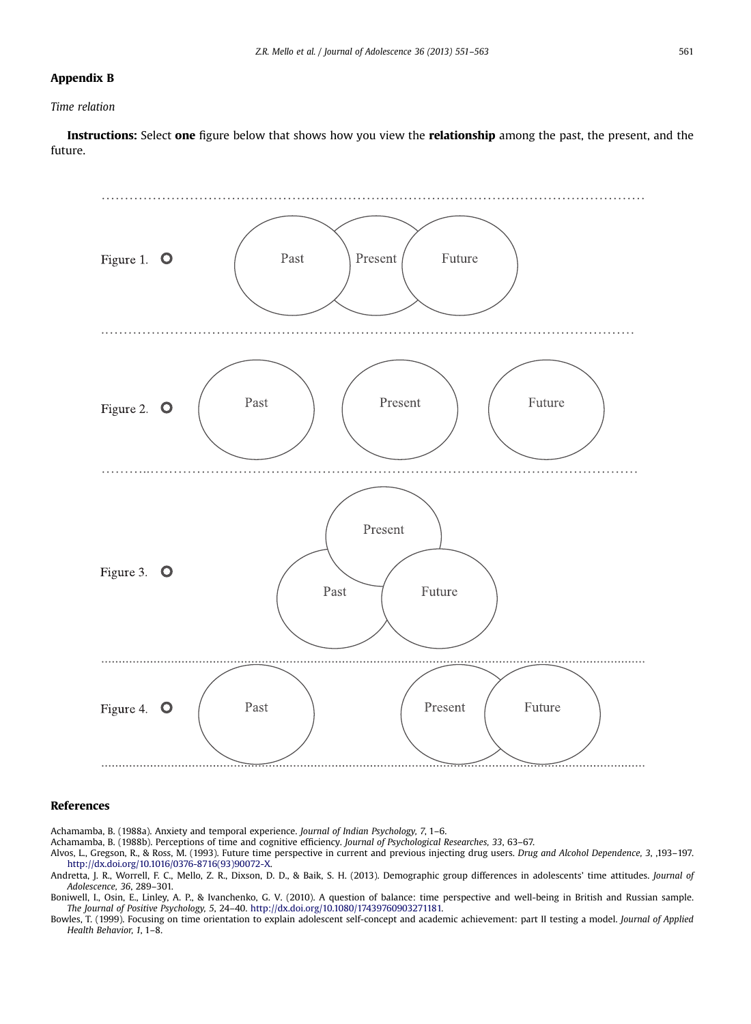## <span id="page-10-0"></span>Appendix B

Time relation

Instructions: Select one figure below that shows how you view the relationship among the past, the present, and the future.



# References

Achamamba, B. (1988a). Anxiety and temporal experience. Journal of Indian Psychology, 7, 1–6.

Achamamba, B. (1988b). Perceptions of time and cognitive efficiency. Journal of Psychological Researches, 33, 63–67.

Alvos, L., Gregson, R., & Ross, M. (1993). Future time perspective in current and previous injecting drug users. Drug and Alcohol Dependence, 3, ,193–197. [http://dx.doi.org/10.1016/0376-8716\(93\)90072-X](http://dx.doi.org/10.1016/0376-8716(93)<?thyc=10?>90072-X<?thyc?>).

Andretta, J. R., Worrell, F. C., Mello, Z. R., Dixson, D. D., & Baik, S. H. (2013). Demographic group differences in adolescents' time attitudes. Journal of Adolescence, 36, 289–301.

Boniwell, I., Osin, E., Linley, A. P., & Ivanchenko, G. V. (2010). A question of balance: time perspective and well-being in British and Russian sample. The Journal of Positive Psychology, 5, 24–40. [http://dx.doi.org/10.1080/17439760903271181.](http://dx.doi.org/10.1080/17439760903271181)

Bowles, T. (1999). Focusing on time orientation to explain adolescent self-concept and academic achievement: part II testing a model. Journal of Applied Health Behavior, 1, 1–8.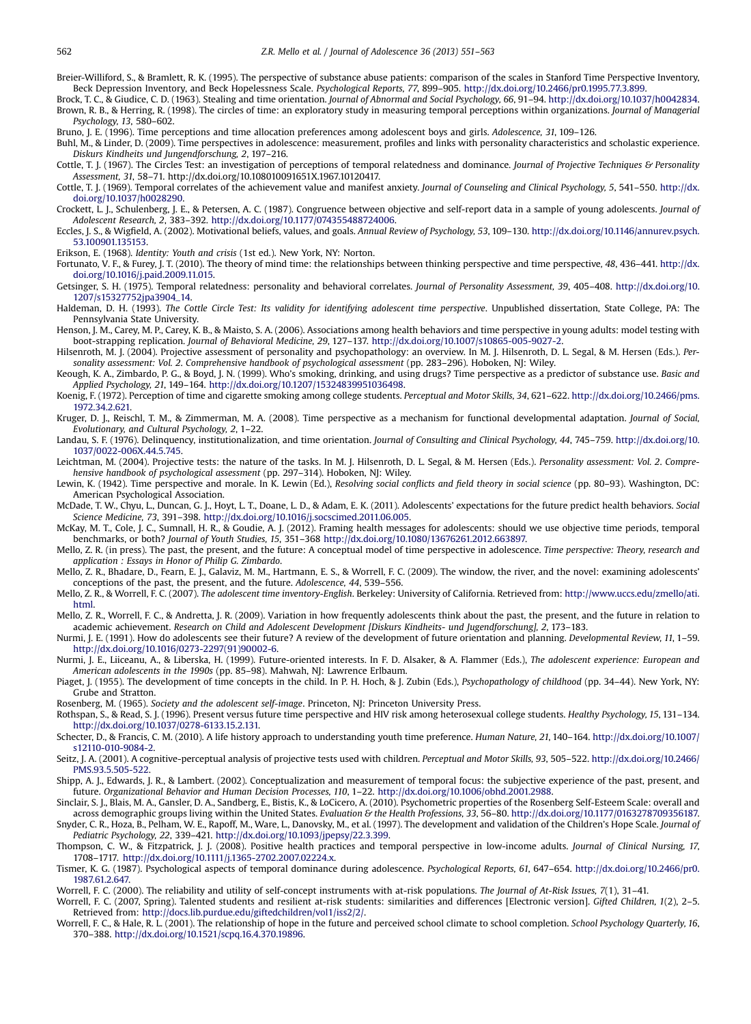<span id="page-11-0"></span>Breier-Williford, S., & Bramlett, R. K. (1995). The perspective of substance abuse patients: comparison of the scales in Stanford Time Perspective Inventory, Beck Depression Inventory, and Beck Hopelessness Scale. Psychological Reports, 77, 899–905. [http://dx.doi.org/10.2466/pr0.1995.77.3.899.](http://dx.doi.org/10.2466/pr0.1995.77.3.899)

Brock, T. C., & Giudice, C. D. (1963). Stealing and time orientation. Journal of Abnormal and Social Psychology, 66, 91–94. [http://dx.doi.org/10.1037/h0042834.](http://dx.doi.org/10.1037/h0042834) Brown, R. B., & Herring, R. (1998). The circles of time: an exploratory study in measuring temporal perceptions within organizations. Journal of Managerial

Psychology, 13, 580–602. Bruno, J. E. (1996). Time perceptions and time allocation preferences among adolescent boys and girls. Adolescence, 31, 109–126.

Buhl, M., & Linder, D. (2009). Time perspectives in adolescence: measurement, profiles and links with personality characteristics and scholastic experience.

Diskurs Kindheits und Jungendforschung, 2, 197–216. Cottle, T. J. (1967). The Circles Test: an investigation of perceptions of temporal relatedness and dominance. Journal of Projective Techniques & Personality Assessment, 31, 58–71. http://dx.doi.org/10.108010091651X.1967.10120417.

Cottle, T. J. (1969). Temporal correlates of the achievement value and manifest anxiety. Journal of Counseling and Clinical Psychology, 5, 541–550. [http://dx.](http://dx.doi.org/10.1037/h0028290) [doi.org/10.1037/h0028290](http://dx.doi.org/10.1037/h0028290).

Crockett, L. J., Schulenberg, J. E., & Petersen, A. C. (1987). Congruence between objective and self-report data in a sample of young adolescents. Journal of Adolescent Research, 2, 383–392. <http://dx.doi.org/10.1177/074355488724006>.

Eccles, J. S., & Wigfield, A. (2002). Motivational beliefs, values, and goals. Annual Review of Psychology, 53, 109–130. [http://dx.doi.org/10.1146/annurev.psych.](http://dx.doi.org/10.1146/annurev.psych.53.100901.135153) [53.100901.135153](http://dx.doi.org/10.1146/annurev.psych.53.100901.135153).

Erikson, E. (1968). Identity: Youth and crisis (1st ed.). New York, NY: Norton.

Fortunato, V. F., & Furey, J. T. (2010). The theory of mind time: the relationships between thinking perspective and time perspective, 48, 436-441. [http://dx.](http://dx.doi.org/10.1016/j.paid.2009.11.015) [doi.org/10.1016/j.paid.2009.11.015](http://dx.doi.org/10.1016/j.paid.2009.11.015).

Getsinger, S. H. (1975). Temporal relatedness: personality and behavioral correlates. Journal of Personality Assessment, 39, 405-408. [http://dx.doi.org/10.](http://dx.doi.org/10.1207/s15327752jpa3904_14) [1207/s15327752jpa3904\\_14.](http://dx.doi.org/10.1207/s15327752jpa3904_14)

Haldeman, D. H. (1993). The Cottle Circle Test: Its validity for identifying adolescent time perspective. Unpublished dissertation, State College, PA: The Pennsylvania State University.

Henson, J. M., Carey, M. P., Carey, K. B., & Maisto, S. A. (2006). Associations among health behaviors and time perspective in young adults: model testing with boot-strapping replication. Journal of Behavioral Medicine, 29, 127–137. <http://dx.doi.org/10.1007/s10865-005-9027-2>.

Hilsenroth, M. J. (2004). Projective assessment of personality and psychopathology: an overview. In M. J. Hilsenroth, D. L. Segal, & M. Hersen (Eds.). Personality assessment: Vol. 2. Comprehensive handbook of psychological assessment (pp. 283–296). Hoboken, NJ: Wiley.

Keough, K. A., Zimbardo, P. G., & Boyd, J. N. (1999). Who's smoking, drinking, and using drugs? Time perspective as a predictor of substance use. Basic and Applied Psychology, 21, 149–164. [http://dx.doi.org/10.1207/15324839951036498.](http://dx.doi.org/10.1207/15324839951036498)

Koenig, F. (1972). Perception of time and cigarette smoking among college students. Perceptual and Motor Skills, 34, 621–622. [http://dx.doi.org/10.2466/pms.](http://dx.doi.org/10.2466/pms.1972.34.2.621) [1972.34.2.621.](http://dx.doi.org/10.2466/pms.1972.34.2.621)

Kruger, D. J., Reischl, T. M., & Zimmerman, M. A. (2008). Time perspective as a mechanism for functional developmental adaptation. Journal of Social, Evolutionary, and Cultural Psychology, 2, 1–22.

Landau, S. F. (1976). Delinquency, institutionalization, and time orientation. Journal of Consulting and Clinical Psychology, 44, 745–759. [http://dx.doi.org/10.](http://dx.doi.org/10.1037/0022-006X.44.5.745) [1037/0022-006X.44.5.745](http://dx.doi.org/10.1037/0022-006X.44.5.745).

Leichtman, M. (2004). Projective tests: the nature of the tasks. In M. J. Hilsenroth, D. L. Segal, & M. Hersen (Eds.). Personality assessment: Vol. 2. Comprehensive handbook of psychological assessment (pp. 297–314). Hoboken, NJ: Wiley.

Lewin, K. (1942). Time perspective and morale. In K. Lewin (Ed.), Resolving social conflicts and field theory in social science (pp. 80–93). Washington, DC: American Psychological Association.

McDade, T. W., Chyu, L., Duncan, G. J., Hoyt, L. T., Doane, L. D., & Adam, E. K. (2011). Adolescents' expectations for the future predict health behaviors. Social Science Medicine, 73, 391–398. [http://dx.doi.org/10.1016/j.socscimed.2011.06.005.](http://dx.doi.org/10.1016/j.socscimed.2011.06.005)

McKay, M. T., Cole, J. C., Sumnall, H. R., & Goudie, A. J. (2012). Framing health messages for adolescents: should we use objective time periods, temporal benchmarks, or both? Journal of Youth Studies, 15, 351–368 [http://dx.doi.org/10.1080/13676261.2012.663897.](http://dx.doi.org/10.1080/13676261.2012.663897)

Mello, Z. R. (in press). The past, the present, and the future: A conceptual model of time perspective in adolescence. Time perspective: Theory, research and application : Essays in Honor of Philip G. Zimbardo.

Mello, Z. R., Bhadare, D., Fearn, E. J., Galaviz, M. M., Hartmann, E. S., & Worrell, F. C. (2009). The window, the river, and the novel: examining adolescents' conceptions of the past, the present, and the future. Adolescence, 44, 539–556.

Mello, Z. R., & Worrell, F. C. (2007). The adolescent time inventory-English. Berkeley: University of California. Retrieved from: [http://www.uccs.edu/zmello/ati.](http://www.uccs.edu/zmello/ati.html) [html.](http://www.uccs.edu/zmello/ati.html)

Mello, Z. R., Worrell, F. C., & Andretta, J. R. (2009). Variation in how frequently adolescents think about the past, the present, and the future in relation to academic achievement. Research on Child and Adolescent Development [Diskurs Kindheits- und Jugendforschung], 2, 173–183.

Nurmi, J. E. (1991). How do adolescents see their future? A review of the development of future orientation and planning. Developmental Review, 11, 1–59. [http://dx.doi.org/10.1016/0273-2297\(91\)90002-6.](http://dx.doi.org/10.1016/0273-2297(91)90002-6)

Nurmi, J. E., Liiceanu, A., & Liberska, H. (1999). Future-oriented interests. In F. D. Alsaker, & A. Flammer (Eds.), The adolescent experience: European and American adolescents in the 1990s (pp. 85–98). Mahwah, NJ: Lawrence Erlbaum.

Piaget, J. (1955). The development of time concepts in the child. In P. H. Hoch, & J. Zubin (Eds.), Psychopathology of childhood (pp. 34–44). New York, NY: Grube and Stratton.

Rosenberg, M. (1965). Society and the adolescent self-image. Princeton, NJ: Princeton University Press.

Rothspan, S., & Read, S. J. (1996). Present versus future time perspective and HIV risk among heterosexual college students. Healthy Psychology, 15, 131–134. [http://dx.doi.org/10.1037/0278-6133.15.2.131.](http://dx.doi.org/10.1037/0278-6133.15.2.131)

Schecter, D., & Francis, C. M. (2010). A life history approach to understanding youth time preference. Human Nature, 21, 140–164. [http://dx.doi.org/10.1007/](http://dx.doi.org/10.1007/s12110-010-9084-2) [s12110-010-9084-2](http://dx.doi.org/10.1007/s12110-010-9084-2).

Seitz, J. A. (2001). A cognitive-perceptual analysis of projective tests used with children. Perceptual and Motor Skills, 93, 505–522. [http://dx.doi.org/10.2466/](http://dx.doi.org/10.2466/PMS.93.5.505-522) [PMS.93.5.505-522.](http://dx.doi.org/10.2466/PMS.93.5.505-522)

Shipp, A. J., Edwards, J. R., & Lambert. (2002). Conceptualization and measurement of temporal focus: the subjective experience of the past, present, and future. Organizational Behavior and Human Decision Processes, 110, 1–22. [http://dx.doi.org/10.1006/obhd.2001.2988.](http://dx.doi.org/10.1006/obhd.2001.2988)

Sinclair, S. J., Blais, M. A., Gansler, D. A., Sandberg, E., Bistis, K., & LoCicero, A. (2010). Psychometric properties of the Rosenberg Self-Esteem Scale: overall and across demographic groups living within the United States. Evaluation & the Health Professions, 33, 56-80. [http://dx.doi.org/10.1177/0163278709356187.](http://dx.doi.org/10.1177/0163278709356187)

Snyder, C. R., Hoza, B., Pelham, W. E., Rapoff, M., Ware, L., Danovsky, M., et al. (1997). The development and validation of the Children's Hope Scale. Journal of Pediatric Psychology, 22, 339–421. [http://dx.doi.org/10.1093/jpepsy/22.3.399.](http://dx.doi.org/10.1093/jpepsy/22.3.399)

Thompson, C. W., & Fitzpatrick, J. J. (2008). Positive health practices and temporal perspective in low-income adults. Journal of Clinical Nursing, 17, 1708–1717. <http://dx.doi.org/10.1111/j.1365-2702.2007.02224.x>.

Tismer, K. G. (1987). Psychological aspects of temporal dominance during adolescence. Psychological Reports, 61, 647–654. [http://dx.doi.org/10.2466/pr0.](http://dx.doi.org/10.2466/pr0.1987.61.2.647) [1987.61.2.647.](http://dx.doi.org/10.2466/pr0.1987.61.2.647)

Worrell, F. C. (2000). The reliability and utility of self-concept instruments with at-risk populations. The Journal of At-Risk Issues, 7(1), 31-41.

Worrell, F. C. (2007, Spring). Talented students and resilient at-risk students: similarities and differences [Electronic version]. Gifted Children, 1(2), 2-5. Retrieved from: [http://docs.lib.purdue.edu/giftedchildren/vol1/iss2/2/.](http://docs.lib.purdue.edu/giftedchildren/vol1/iss2/2/)

Worrell, F. C., & Hale, R. L. (2001). The relationship of hope in the future and perceived school climate to school completion. School Psychology Quarterly, 16, 370–388. [http://dx.doi.org/10.1521/scpq.16.4.370.19896.](http://dx.doi.org/10.1521/scpq.16.4.370.19896)